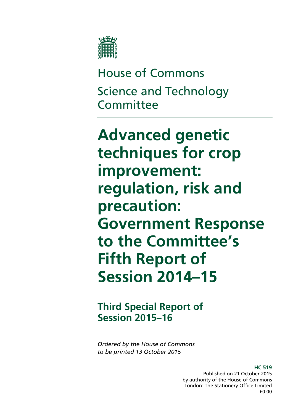

House of Commons Science and Technology **Committee** 

**Advanced genetic techniques for crop improvement: regulation, risk and precaution: Government Response to the Committee's Fifth Report of Session 2014–15**

## **Third Special Report of Session 2015–16**

*Ordered by the House of Commons to be printed 13 October 2015*

> **HC 519** Published on 21 October 2015 by authority of the House of Commons London: The Stationery Office Limited £0.00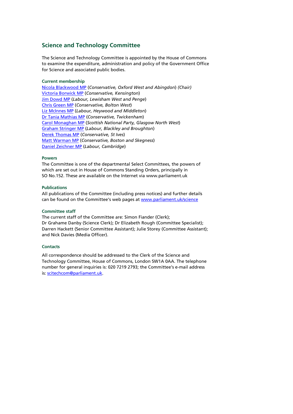#### **Science and Technology Committee**

The Science and Technology Committee is appointed by the House of Commons to examine the expenditure, administration and policy of the Government Office for Science and associated public bodies.

#### **Current membership**

[Nicola Blackwood MP](http://www.parliament.uk/biographies/commons/nicola-blackwood/4019) (*Conservative, Oxford West and Abingdon*) *(Chair)* [Victoria Borwick MP](http://www.parliament.uk/biographies/commons/victoria-borwick/4502) (*Conservative, Kensington*) [Jim Dowd MP](http://www.parliament.uk/biographies/commons/jim-dowd/189) (*Labour, Lewisham West and Penge*) [Chris Green MP](http://www.parliament.uk/biographies/commons/chris-green/4398) (*Conservative, Bolton West*) [Liz McInnes MP](http://www.parliament.uk/biographies/commons/liz-mcinnes/4342) (*Labour, Heywood and Middleton*) [Dr Tania Mathias MP](http://www.parliament.uk/biographies/commons/dr-tania-mathias/4404) (*Conservative, Twickenham*) [Carol Monaghan MP](http://www.parliament.uk/biographies/commons/carol-monaghan/4443) (*Scottish National Party, Glasgow North West*) [Graham Stringer MP](http://www.parliament.uk/biographies/commons/graham-stringer/449) (*Labour, Blackley and Broughton*) [Derek Thomas MP](http://www.parliament.uk/biographies/commons/derek-thomas/4532) (*Conservative, St Ives*) [Matt Warman MP](http://www.parliament.uk/biographies/commons/matt-warman/4361) (*Conservative, Boston and Skegness*) [Daniel Zeichner MP](http://www.parliament.uk/biographies/commons/daniel-zeichner/4382) (*Labour, Cambridge*)

#### **Powers**

The Committee is one of the departmental Select Committees, the powers of which are set out in House of Commons Standing Orders, principally in SO No.152. These are available on the Internet via www.parliament.uk

#### **Publications**

All publications of the Committee (including press notices) and further details can be found on the Committee's web pages a[t www.parliament.uk/science](https://hopuk.sharepoint.com/sites/ScienceandTechnology/Shared%20Documents/www.parliament.uk/science)

#### **Committee staff**

The current staff of the Committee are: Simon Fiander (Clerk); Dr Grahame Danby (Science Clerk); Dr Elizabeth Rough (Committee Specialist); Darren Hackett (Senior Committee Assistant); Julie Storey (Committee Assistant); and Nick Davies (Media Officer).

#### **Contacts**

All correspondence should be addressed to the Clerk of the Science and Technology Committee, House of Commons, London SW1A 0AA. The telephone number for general inquiries is: 020 7219 2793; the Committee's e-mail address is: [scitechcom@parliament.uk.](mailto:scitechcom@parliament.uk)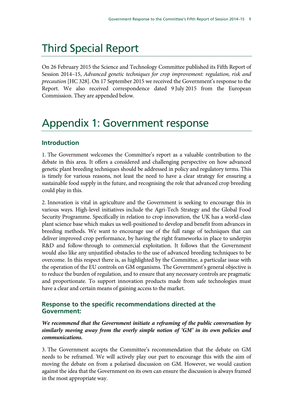# Third Special Report

On 26 February 2015 the Science and Technology Committee published its Fifth Report of Session 2014–15, *Advanced genetic techniques for crop improvement: regulation, risk and precaution* [HC 328]. On 17 September 2015 we received the Government's response to the Report. We also received correspondence dated 9 July 2015 from the European Commission. They are appended below.

## Appendix 1: Government response

## **Introduction**

1. The Government welcomes the Committee's report as a valuable contribution to the debate in this area. It offers a considered and challenging perspective on how advanced genetic plant breeding techniques should be addressed in policy and regulatory terms. This is timely for various reasons, not least the need to have a clear strategy for ensuring a sustainable food supply in the future, and recognising the role that advanced crop breeding could play in this.

2. Innovation is vital in agriculture and the Government is seeking to encourage this in various ways. High-level initiatives include the Agri-Tech Strategy and the Global Food Security Programme. Specifically in relation to crop innovation, the UK has a world-class plant science base which makes us well-positioned to develop and benefit from advances in breeding methods. We want to encourage use of the full range of techniques that can deliver improved crop performance, by having the right frameworks in place to underpin R&D and follow-through to commercial exploitation. It follows that the Government would also like any unjustified obstacles to the use of advanced breeding techniques to be overcome. In this respect there is, as highlighted by the Committee, a particular issue with the operation of the EU controls on GM organisms. The Government's general objective is to reduce the burden of regulation, and to ensure that any necessary controls are pragmatic and proportionate. To support innovation products made from safe technologies must have a clear and certain means of gaining access to the market.

## **Response to the specific recommendations directed at the Government:**

*We recommend that the Government initiate a reframing of the public conversation by similarly moving away from the overly simple notion of 'GM' in its own policies and communications.*

3. The Government accepts the Committee's recommendation that the debate on GM needs to be reframed. We will actively play our part to encourage this with the aim of moving the debate on from a polarised discussion on GM. However, we would caution against the idea that the Government on its own can ensure the discussion is always framed in the most appropriate way.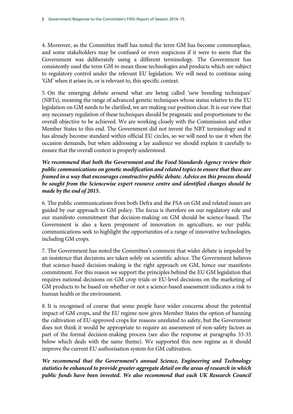4. Moreover, as the Committee itself has noted the term GM has become commonplace, and some stakeholders may be confused or even suspicious if it were to seem that the Government was deliberately using a different terminology. The Government has consistently used the term GM to mean those technologies and products which are subject to regulatory control under the relevant EU legislation. We will need to continue using 'GM' when it arises in, or is relevant to, this specific context.

5. On the emerging debate around what are being called 'new breeding techniques' (NBTs), meaning the range of advanced genetic techniques whose status relative to the EU legislation on GM needs to be clarified, we are making our position clear. It is our view that any necessary regulation of these techniques should be pragmatic and proportionate to the overall objective to be achieved. We are working closely with the Commission and other Member States to this end. The Government did not invent the NBT terminology and it has already become standard within official EU circles, so we will need to use it when the occasion demands, but when addressing a lay audience we should explain it carefully to ensure that the overall context is properly understood.

*We recommend that both the Government and the Food Standards Agency review their public communications on genetic modification and related topics to ensure that these are framed in a way that encourages constructive public debate. Advice on this process should be sought from the Sciencewise expert resource centre and identified changes should be made by the end of 2015.*

6. The public communications from both Defra and the FSA on GM and related issues are guided by our approach to GM policy. The focus is therefore on our regulatory role and our manifesto commitment that decision-making on GM should be science-based. The Government is also a keen proponent of innovation in agriculture, so our public communications seek to highlight the opportunities of a range of innovative technologies, including GM crops.

7. The Government has noted the Committee's comment that wider debate is impeded by an insistence that decisions are taken solely on scientific advice. The Government believes that science-based decision-making is the right approach on GM, hence our manifesto commitment. For this reason we support the principles behind the EU GM legislation that requires national decisions on GM crop trials or EU-level decisions on the marketing of GM products to be based on whether or not a science-based assessment indicates a risk to human health or the environment.

8. It is recognised of course that some people have wider concerns about the potential impact of GM crops, and the EU regime now gives Member States the option of banning the cultivation of EU-approved crops for reasons unrelated to safety, but the Government does not think it would be appropriate to require an assessment of non-safety factors as part of the formal decision-making process (see also the response at paragraphs 33-35 below which deals with the same theme). We supported this new regime as it should improve the current EU authorisation system for GM cultivation.

*We recommend that the Government's annual Science, Engineering and Technology statistics be enhanced to provide greater aggregate detail on the areas of research in which public funds have been invested. We also recommend that each UK Research Council*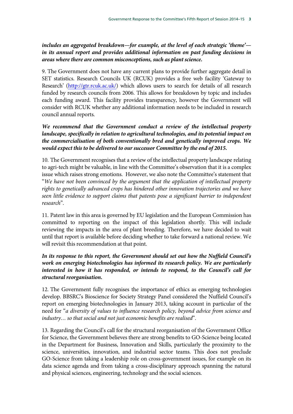### *includes an aggregated breakdown—for example, at the level of each strategic 'theme' in its annual report and provides additional information on past funding decisions in areas where there are common misconceptions, such as plant science.*

9. The Government does not have any current plans to provide further aggregate detail in SET statistics. Research Councils UK (RCUK) provides a free web facility 'Gateway to Research' [\(http://gtr.rcuk.ac.uk/\)](http://gtr.rcuk.ac.uk/) which allows users to search for details of all research funded by research councils from 2006. This allows for breakdown by topic and includes each funding award. This facility provides transparency, however the Government will consider with RCUK whether any additional information needs to be included in research council annual reports.

## *We recommend that the Government conduct a review of the intellectual property landscape, specifically in relation to agricultural technologies, and its potential impact on the commercialisation of both conventionally bred and genetically improved crops. We would expect this to be delivered to our successor Committee by the end of 2015.*

10. The Government recognises that a review of the intellectual property landscape relating to agri-tech might be valuable, in line with the Committee's observation that it is a complex issue which raises strong emotions. However, we also note the Committee's statement that "*We have not been convinced by the argument that the application of intellectual property rights to genetically advanced crops has hindered other innovation trajectories and we have seen little evidence to support claims that patents pose a significant barrier to independent research*".

11. Patent law in this area is governed by EU legislation and the European Commission has committed to reporting on the impact of this legislation shortly. This will include reviewing the impacts in the area of plant breeding. Therefore, we have decided to wait until that report is available before deciding whether to take forward a national review. We will revisit this recommendation at that point.

## *In its response to this report, the Government should set out how the Nuffield Council's work on emerging biotechnologies has informed its research policy. We are particularly interested in how it has responded, or intends to respond, to the Council's call for structural reorganisation.*

12. The Government fully recognises the importance of ethics as emerging technologies develop. BBSRC's Bioscience for Society Strategy Panel considered the Nuffield Council's report on emerging biotechnologies in January 2013, taking account in particular of the need for "*a diversity of values to influence research policy, beyond advice from science and industry… so that social and not just economic benefits are realised*".

13. Regarding the Council's call for the structural reorganisation of the Government Office for Science, the Government believes there are strong benefits to GO-Science being located in the Department for Business, Innovation and Skills, particularly the proximity to the science, universities, innovation, and industrial sector teams. This does not preclude GO-Science from taking a leadership role on cross-government issues, for example on its data science agenda and from taking a cross-disciplinary approach spanning the natural and physical sciences, engineering, technology and the social sciences.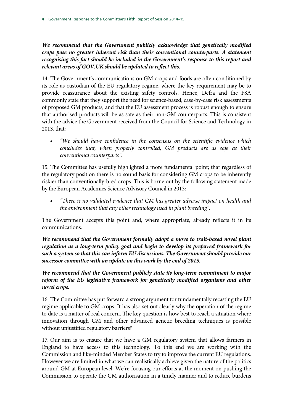*We recommend that the Government publicly acknowledge that genetically modified crops pose no greater inherent risk than their conventional counterparts. A statement recognising this fact should be included in the Government's response to this report and relevant areas of GOV.UK should be updated to reflect this.*

14. The Government's communications on GM crops and foods are often conditioned by its role as custodian of the EU regulatory regime, where the key requirement may be to provide reassurance about the existing safety controls. Hence, Defra and the FSA commonly state that they support the need for science-based, case-by-case risk assessments of proposed GM products, and that the EU assessment process is robust enough to ensure that authorised products will be as safe as their non-GM counterparts. This is consistent with the advice the Government received from the Council for Science and Technology in 2013, that:

• *"We should have confidence in the consensus on the scientific evidence which concludes that, when properly controlled, GM products are as safe as their conventional counterparts".*

15. The Committee has usefully highlighted a more fundamental point; that regardless of the regulatory position there is no sound basis for considering GM crops to be inherently riskier than conventionally-bred crops. This is borne out by the following statement made by the European Academies Science Advisory Council in 2013:

• *"There is no validated evidence that GM has greater adverse impact on health and the environment that any other technology used in plant breeding".*

The Government accepts this point and, where appropriate, already reflects it in its communications.

*We recommend that the Government formally adopt a move to trait-based novel plant regulation as a long-term policy goal and begin to develop its preferred framework for such a system so that this can inform EU discussions. The Government should provide our successor committee with an update on this work by the end of 2015.*

*We recommend that the Government publicly state its long-term commitment to major*  reform of the EU legislative framework for genetically modified organisms and other *novel crops.*

16. The Committee has put forward a strong argument for fundamentally recasting the EU regime applicable to GM crops. It has also set out clearly why the operation of the regime to date is a matter of real concern. The key question is how best to reach a situation where innovation through GM and other advanced genetic breeding techniques is possible without unjustified regulatory barriers?

17. Our aim is to ensure that we have a GM regulatory system that allows farmers in England to have access to this technology. To this end we are working with the Commission and like-minded Member States to try to improve the current EU regulations. However we are limited in what we can realistically achieve given the nature of the politics around GM at European level. We're focusing our efforts at the moment on pushing the Commission to operate the GM authorisation in a timely manner and to reduce burdens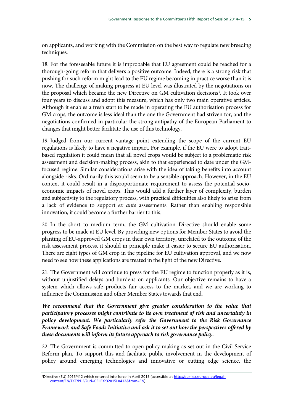on applicants, and working with the Commission on the best way to regulate new breeding techniques.

18. For the foreseeable future it is improbable that EU agreement could be reached for a thorough-going reform that delivers a positive outcome. Indeed, there is a strong risk that pushing for such reform might lead to the EU regime becoming in practice worse than it is now. The challenge of making progress at EU level was illustrated by the negotiations on the proposal which became the new Directive on GM cultivation decisions<sup>[1](#page-6-0)</sup>. It took over four years to discuss and adopt this measure, which has only two main operative articles. Although it enables a fresh start to be made in operating the EU authorisation process for GM crops, the outcome is less ideal than the one the Government had striven for, and the negotiations confirmed in particular the strong antipathy of the European Parliament to changes that might better facilitate the use of this technology.

19. Judged from our current vantage point extending the scope of the current EU regulations is likely to have a negative impact. For example, if the EU were to adopt traitbased regulation it could mean that all novel crops would be subject to a problematic risk assessment and decision-making process, akin to that experienced to date under the GMfocused regime. Similar considerations arise with the idea of taking benefits into account alongside risks. Ordinarily this would seem to be a sensible approach. However, in the EU context it could result in a disproportionate requirement to assess the potential socioeconomic impacts of novel crops. This would add a further layer of complexity, burden and subjectivity to the regulatory process, with practical difficulties also likely to arise from a lack of evidence to support *ex ante* assessments. Rather than enabling responsible innovation, it could become a further barrier to this.

20. In the short to medium term, the GM cultivation Directive should enable some progress to be made at EU level. By providing new options for Member States to avoid the planting of EU-approved GM crops in their own territory, unrelated to the outcome of the risk assessment process, it should in principle make it easier to secure EU authorisation. There are eight types of GM crop in the pipeline for EU cultivation approval, and we now need to see how these applications are treated in the light of the new Directive.

21. The Government will continue to press for the EU regime to function properly as it is, without unjustified delays and burdens on applicants. Our objective remains to have a system which allows safe products fair access to the market, and we are working to influence the Commission and other Member States towards that end.

We recommend that the Government give greater consideration to the value that *participatory processes might contribute to its own treatment of risk and uncertainty in policy development. We particularly refer the Government to the Risk Governance Framework and Safe Foods Initiative and ask it to set out how the perspectives offered by these documents will inform its future approach to risk governance policy.*

22. The Government is committed to open policy making as set out in the Civil Service Reform plan. To support this and facilitate public involvement in the development of policy around emerging technologies and innovative or cutting edge science, the

<span id="page-6-0"></span><sup>&</sup>lt;sup>1</sup>Directive (EU) 2015/412 which entered into force in April 2015 (accessible a[t http://eur-lex.europa.eu/legal](http://eur-lex.europa.eu/legal-content/EN/TXT/PDF/?uri=CELEX:32015L0412&from=EN)[content/EN/TXT/PDF/?uri=CELEX:32015L0412&from=EN\)](http://eur-lex.europa.eu/legal-content/EN/TXT/PDF/?uri=CELEX:32015L0412&from=EN).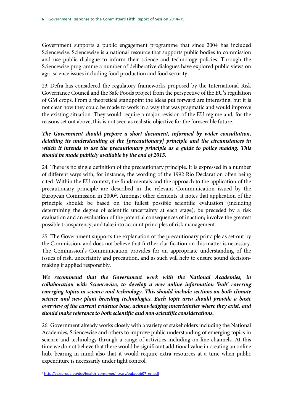Government supports a public engagement programme that since 2004 has included Sciencewise. Sciencewise is a national resource that supports public bodies to commission and use public dialogue to inform their science and technology policies. Through the Sciencewise programme a number of deliberative dialogues have explored public views on agri-science issues including food production and food security.

23. Defra has considered the regulatory frameworks proposed by the International Risk Governance Council and the Safe Foods project from the perspective of the EU's regulation of GM crops. From a theoretical standpoint the ideas put forward are interesting, but it is not clear how they could be made to work in a way that was pragmatic and would improve the existing situation. They would require a major revision of the EU regime and, for the reasons set out above, this is not seen as realistic objective for the foreseeable future.

## *The Government should prepare a short document, informed by wider consultation, detailing its understanding of the [precautionary] principle and the circumstances in which it intends to use the precautionary principle as a guide to policy making. This should be made publicly available by the end of 2015.*

24. There is no single definition of the precautionary principle. It is expressed in a number of different ways with, for instance, the wording of the 1992 Rio Declaration often being cited. Within the EU context, the fundamentals and the approach to the application of the precautionary principle are described in the relevant Communication issued by the European Commission in [2](#page-7-0)000<sup>2</sup>. Amongst other elements, it notes that application of the principle should: be based on the fullest possible scientific evaluation (including determining the degree of scientific uncertainty at each stage); be preceded by a risk evaluation and an evaluation of the potential consequences of inaction; involve the greatest possible transparency; and take into account principles of risk management.

25. The Government supports the explanation of the precautionary principle as set out by the Commission, and does not believe that further clarification on this matter is necessary. The Commission's Communication provides for an appropriate understanding of the issues of risk, uncertainty and precaution, and as such will help to ensure sound decisionmaking if applied responsibly.

*We recommend that the Government work with the National Academies, in collaboration with Sciencewise, to develop a new online information 'hub' covering emerging topics in science and technology. This should include sections on both climate science and new plant breeding technologies. Each topic area should provide a basic overview of the current evidence base, acknowledging uncertainties where they exist, and should make reference to both scientific and non-scientific considerations.*

26. Government already works closely with a variety of stakeholders including the National Academies, Sciencewise and others to improve public understanding of emerging topics in science and technology through a range of activities including on-line channels. At this time we do not believe that there would be significant additional value in creating an online hub, bearing in mind also that it would require extra resources at a time when public expenditure is necessarily under tight control.

<span id="page-7-0"></span><sup>2</sup> [http://ec.europa.eu/dgs/health\\_consumer/library/pub/pub07\\_en.pdf](http://ec.europa.eu/dgs/health_consumer/library/pub/pub07_en.pdf)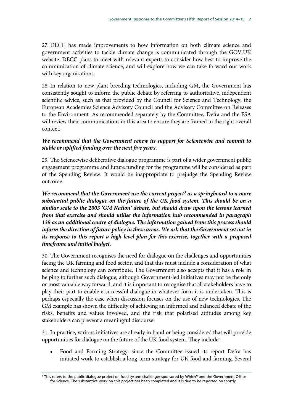27. DECC has made improvements to how information on both climate science and government activities to tackle climate change is communicated through the GOV.UK website. DECC plans to meet with relevant experts to consider how best to improve the communication of climate science, and will explore how we can take forward our work with key organisations.

28. In relation to new plant breeding technologies, including GM, the Government has consistently sought to inform the public debate by referring to authoritative, independent scientific advice, such as that provided by the Council for Science and Technology, the European Academies Science Advisory Council and the Advisory Committee on Releases to the Environment. As recommended separately by the Committee, Defra and the FSA will review their communications in this area to ensure they are framed in the right overall context.

#### *We recommend that the Government renew its support for Sciencewise and commit to stable or uplifted funding over the next five years.*

29. The Sciencewise deliberative dialogue programme is part of a wider government public engagement programme and future funding for the programme will be considered as part of the Spending Review. It would be inappropriate to prejudge the Spending Review outcome.

*We recommend that the Government use the current project[3](#page-8-0) as a springboard to a more substantial public dialogue on the future of the UK food system. This should be on a similar scale to the 2003 'GM Nation' debate, but should draw upon the lessons learned from that exercise and should utilise the information hub recommended in paragraph 138 as an additional centre of dialogue. The information gained from this process should inform the direction of future policy in these areas. We ask that the Government set out in its response to this report a high level plan for this exercise, together with a proposed timeframe and initial budget.*

30. The Government recognises the need for dialogue on the challenges and opportunities facing the UK farming and food sector, and that this must include a consideration of what science and technology can contribute. The Government also accepts that it has a role in helping to further such dialogue, although Government-led initiatives may not be the only or most valuable way forward, and it is important to recognise that all stakeholders have to play their part to enable a successful dialogue in whatever form it is undertaken. This is perhaps especially the case when discussion focuses on the use of new technologies. The GM example has shown the difficulty of achieving an informed and balanced debate of the risks, benefits and values involved, and the risk that polarised attitudes among key stakeholders can prevent a meaningful discourse.

31. In practice, various initiatives are already in hand or being considered that will provide opportunities for dialogue on the future of the UK food system. They include:

• Food and Farming Strategy: since the Committee issued its report Defra has initiated work to establish a long-term strategy for UK food and farming. Several

<span id="page-8-0"></span><sup>3</sup> This refers to the public dialogue project on food system challenges sponsored by Which? and the Government Office for Science. The substantive work on this project has been completed and it is due to be reported on shortly.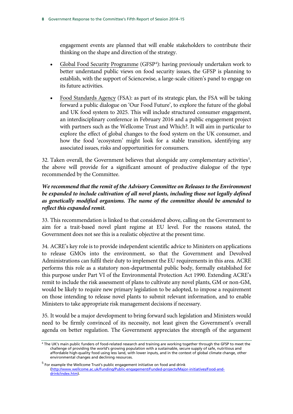engagement events are planned that will enable stakeholders to contribute their thinking on the shape and direction of the strategy.

- Global Food Security Programme (GFSP<sup>[4](#page-9-0)</sup>): having previously undertaken work to better understand public views on food security issues, the GFSP is planning to establish, with the support of Sciencewise, a large-scale citizen's panel to engage on its future activities.
- Food Standards Agency (FSA): as part of its strategic plan, the FSA will be taking forward a public dialogue on 'Our Food Future', to explore the future of the global and UK food system to 2025. This will include structured consumer engagement, an interdisciplinary conference in February 2016 and a public engagement project with partners such as the Wellcome Trust and Which?. It will aim in particular to explore the effect of global changes to the food system on the UK consumer, and how the food 'ecosystem' might look for a stable transition, identifying any associated issues, risks and opportunities for consumers.

32. Taken overall, the Government believes that alongside any complementary activities<sup>5</sup>, the above will provide for a significant amount of productive dialogue of the type recommended by the Committee.

### *We recommend that the remit of the Advisory Committee on Releases to the Environment*  be expanded to include cultivation of all novel plants, including those not legally defined *as genetically modified organisms. The name of the committee should be amended to reflect this expanded remit.*

33. This recommendation is linked to that considered above, calling on the Government to aim for a trait-based novel plant regime at EU level. For the reasons stated, the Government does not see this is a realistic objective at the present time.

34. ACRE's key role is to provide independent scientific advice to Ministers on applications to release GMOs into the environment, so that the Government and Devolved Administrations can fulfil their duty to implement the EU requirements in this area. ACRE performs this role as a statutory non-departmental public body, formally established for this purpose under Part VI of the Environmental Protection Act 1990. Extending ACRE's remit to include the risk assessment of plans to cultivate any novel plants, GM or non-GM, would be likely to require new primary legislation to be adopted, to impose a requirement on those intending to release novel plants to submit relevant information, and to enable Ministers to take appropriate risk management decisions if necessary.

35. It would be a major development to bring forward such legislation and Ministers would need to be firmly convinced of its necessity, not least given the Government's overall agenda on better regulation. The Government appreciates the strength of the argument

<span id="page-9-0"></span><sup>4</sup> The UK's main public funders of food-related research and training are working together through the GFSP to meet the challenge of providing the world's growing population with a sustainable, secure supply of safe, nutritious and affordable high-quality food using less land, with lower inputs, and in the context of global climate change, other environmental changes and declining resources.

<span id="page-9-1"></span> $<sup>5</sup>$  For example the Wellcome Trust's public engagement initiative on food and drink</sup> [\(http://www.wellcome.ac.uk/Funding/Public-engagement/Funded-projects/Major-initiatives/Food-and](http://www.wellcome.ac.uk/Funding/Public-engagement/Funded-projects/Major-initiatives/Food-and-drink/index.htm)[drink/index.htm\)](http://www.wellcome.ac.uk/Funding/Public-engagement/Funded-projects/Major-initiatives/Food-and-drink/index.htm).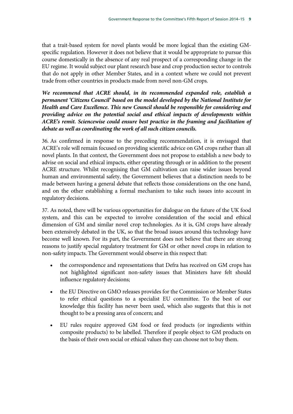that a trait-based system for novel plants would be more logical than the existing GMspecific regulation. However it does not believe that it would be appropriate to pursue this course domestically in the absence of any real prospect of a corresponding change in the EU regime. It would subject our plant research base and crop production sector to controls that do not apply in other Member States, and in a context where we could not prevent trade from other countries in products made from novel non-GM crops.

*We recommend that ACRE should, in its recommended expanded role, establish a permanent 'Citizens Council' based on the model developed by the National Institute for Health and Care Excellence. This new Council should be responsible for considering and providing advice on the potential social and ethical impacts of developments within ACRE's remit. Sciencewise could ensure best practice in the framing and facilitation of debate as well as coordinating the work of all such citizen councils.*

36. As confirmed in response to the preceding recommendation, it is envisaged that ACRE's role will remain focused on providing scientific advice on GM crops rather than all novel plants. In that context, the Government does not propose to establish a new body to advise on social and ethical impacts, either operating through or in addition to the present ACRE structure. Whilst recognising that GM cultivation can raise wider issues beyond human and environmental safety, the Government believes that a distinction needs to be made between having a general debate that reflects those considerations on the one hand, and on the other establishing a formal mechanism to take such issues into account in regulatory decisions.

37. As noted, there will be various opportunities for dialogue on the future of the UK food system, and this can be expected to involve consideration of the social and ethical dimension of GM and similar novel crop technologies. As it is, GM crops have already been extensively debated in the UK, so that the broad issues around this technology have become well known. For its part, the Government does not believe that there are strong reasons to justify special regulatory treatment for GM or other novel crops in relation to non-safety impacts. The Government would observe in this respect that:

- the correspondence and representations that Defra has received on GM crops has not highlighted significant non-safety issues that Ministers have felt should influence regulatory decisions;
- the EU Directive on GMO releases provides for the Commission or Member States to refer ethical questions to a specialist EU committee. To the best of our knowledge this facility has never been used, which also suggests that this is not thought to be a pressing area of concern; and
- EU rules require approved GM food or feed products (or ingredients within composite products) to be labelled. Therefore if people object to GM products on the basis of their own social or ethical values they can choose not to buy them.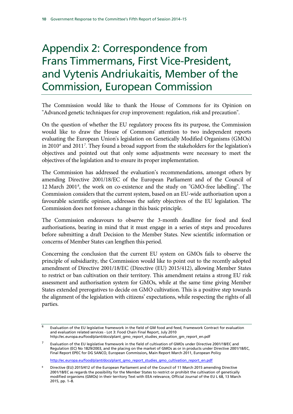# Appendix 2: Correspondence from Frans Timmermans, First Vice-President, and Vytenis Andriukaitis, Member of the Commission, European Commission

The Commission would like to thank the House of Commons for its Opinion on "Advanced genetic techniques for crop improvement: regulation, risk and precaution".

On the question of whether the EU regulatory process fits its purpose, the Commission would like to draw the House of Commons' attention to two independent reports evaluating the European Union's legislation on Genetically Modified Organisms (GMOs) in 2010*[6](#page-11-0)* and 2011*[7](#page-11-1)* . They found a broad support from the stakeholders for the legislation's objectives and pointed out that only some adjustments were necessary to meet the objectives of the legislation and to ensure its proper implementation.

The Commission has addressed the evaluation's recommendations, amongst others by amending Directive 2001/18/EC of the European Parliament and of the Council of 12 March 2001*[8](#page-11-2)* , the work on co-existence and the study on "GMO-free labelling". The Commission considers that the current system, based on an EU-wide authorisation upon a favourable scientific opinion, addresses the safety objectives of the EU legislation. The Commission does not foresee a change in this basic principle.

The Commission endeavours to observe the 3-month deadline for food and feed authorisations, bearing in mind that it must engage in a series of steps and procedures before submitting a draft Decision to the Member States. New scientific information or concerns of Member States can lengthen this period.

Concerning the conclusion that the current EU system on GMOs fails to observe the principle of subsidiarity, the Commission would like to point out to the recently adopted amendment of Directive 2001/18/EC (Directive (EU) 2015/412), allowing Member States to restrict or ban cultivation on their territory. This amendment retains a strong EU risk assessment and authorisation system for GMOs, while at the same time giving Member States extended prerogatives to decide on GMO cultivation. This is a positive step towards the alignment of the legislation with citizens' expectations, while respecting the rights of all parties.

[http://ec.europa.eu/food/plant/docs/plant\\_gmo\\_report\\_studies\\_gmo\\_cultivation\\_report\\_en.pdf](http://ec.europa.eu/food/plant/docs/plant_gmo_report_studies_gmo_cultivation_report_en.pdf)

<span id="page-11-0"></span> $\overline{6}$  Evaluation of the EU legislative framework in the field of GM food and feed, Framework Contract for evaluation and evaluation related services - Lot 3: Food Chain Final Report, July 2010 http://ec.europa.eu/food/plant/docs/plant\_gmo\_report\_studies\_evaluation\_gm\_report\_en.pdf

<span id="page-11-1"></span><sup>7</sup> Evaluation of the EU legislative framework in the field of cultivation of GMOs under Directive 2001/18/EC and Regulation (EC) No 1829/2003, and the placing on the market of GMOs as or in products under Directive 2001/18/EC, Final Report EPEC for DG SANCO, European Commission, Main Report March 2011, European Policy

<span id="page-11-2"></span><sup>8</sup> Directive (EU) 2015/412 of the European Parliament and of the Council of 11 March 2015 amending Directive 2001/18/EC as regards the possibility for the Member States to restrict or prohibit the cultivation of genetically modified organisms (GMOs) in their territory Text with EEA relevance, Official Journal of the EU L 68, 13 March 2015, pp. 1–8.